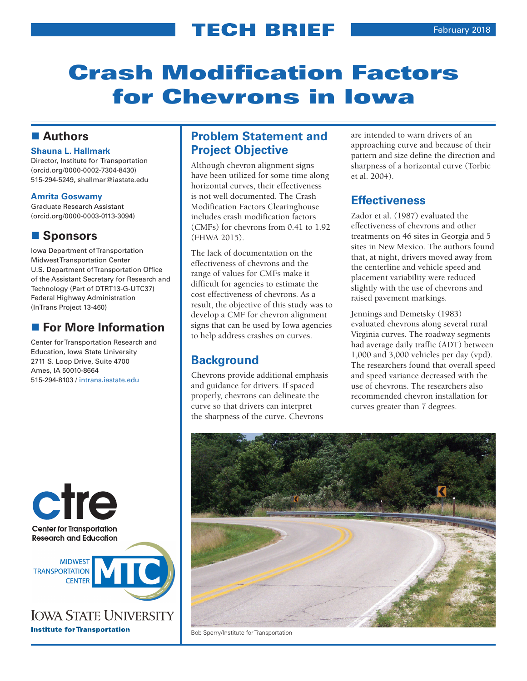# Crash Modification Factors for Chevrons in Iowa

### **Authors**

### **Shauna L. Hallmark**

Director, Institute for Transportation (orcid.org/0000-0002-7304-8430) 515-294-5249, shallmar@iastate.edu

### **Amrita Goswamy**

Graduate Research Assistant (orcid.org/0000-0003-0113-3094)

## ■ Sponsors

Iowa Department of Transportation Midwest Transportation Center U.S. Department of Transportation Office of the Assistant Secretary for Research and Technology (Part of DTRT13-G-UTC37) Federal Highway Administration (InTrans Project 13-460)

## **For More Information**

Center for Transportation Research and Education, Iowa State University 2711 S. Loop Drive, Suite 4700 Ames, IA 50010-8664 515-294-8103 / [intrans.iastate.edu](http://www.intrans.iastate.edu/)



## **Problem Statement and Project Objective**

Although chevron alignment signs have been utilized for some time along horizontal curves, their effectiveness is not well documented. The Crash Modification Factors Clearinghouse includes crash modification factors (CMFs) for chevrons from 0.41 to 1.92 (FHWA 2015).

The lack of documentation on the effectiveness of chevrons and the range of values for CMFs make it difficult for agencies to estimate the cost effectiveness of chevrons. As a result, the objective of this study was to develop a CMF for chevron alignment signs that can be used by Iowa agencies to help address crashes on curves.

## **Background**

Chevrons provide additional emphasis and guidance for drivers. If spaced properly, chevrons can delineate the curve so that drivers can interpret the sharpness of the curve. Chevrons

are intended to warn drivers of an approaching curve and because of their pattern and size define the direction and sharpness of a horizontal curve (Torbic et al. 2004).

### **Effectiveness**

Zador et al. (1987) evaluated the effectiveness of chevrons and other treatments on 46 sites in Georgia and 5 sites in New Mexico. The authors found that, at night, drivers moved away from the centerline and vehicle speed and placement variability were reduced slightly with the use of chevrons and raised pavement markings.

Jennings and Demetsky (1983) evaluated chevrons along several rural Virginia curves. The roadway segments had average daily traffic (ADT) between 1,000 and 3,000 vehicles per day (vpd). The researchers found that overall speed and speed variance decreased with the use of chevrons. The researchers also recommended chevron installation for curves greater than 7 degrees.



Bob Sperry/Institute for Transportation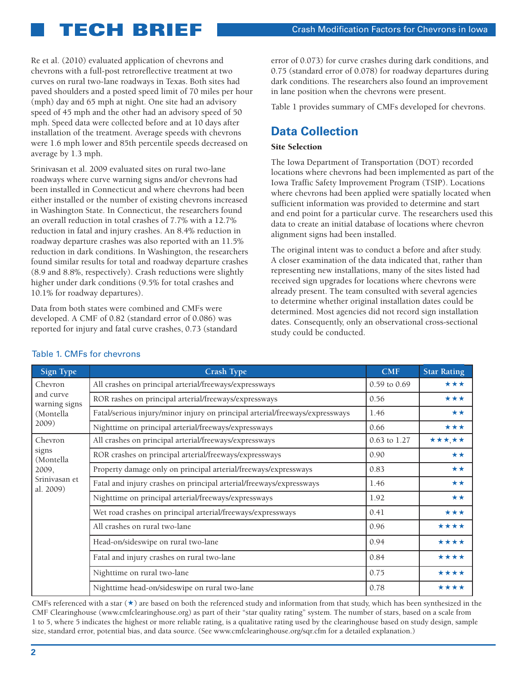Re et al. (2010) evaluated application of chevrons and chevrons with a full-post retroreflective treatment at two curves on rural two-lane roadways in Texas. Both sites had paved shoulders and a posted speed limit of 70 miles per hour (mph) day and 65 mph at night. One site had an advisory speed of 45 mph and the other had an advisory speed of 50 mph. Speed data were collected before and at 10 days after installation of the treatment. Average speeds with chevrons were 1.6 mph lower and 85th percentile speeds decreased on average by 1.3 mph.

Srinivasan et al. 2009 evaluated sites on rural two-lane roadways where curve warning signs and/or chevrons had been installed in Connecticut and where chevrons had been either installed or the number of existing chevrons increased in Washington State. In Connecticut, the researchers found an overall reduction in total crashes of 7.7% with a 12.7% reduction in fatal and injury crashes. An 8.4% reduction in roadway departure crashes was also reported with an 11.5% reduction in dark conditions. In Washington, the researchers found similar results for total and roadway departure crashes (8.9 and 8.8%, respectively). Crash reductions were slightly higher under dark conditions (9.5% for total crashes and 10.1% for roadway departures).

Data from both states were combined and CMFs were developed. A CMF of 0.82 (standard error of 0.086) was reported for injury and fatal curve crashes, 0.73 (standard error of 0.073) for curve crashes during dark conditions, and 0.75 (standard error of 0.078) for roadway departures during dark conditions. The researchers also found an improvement in lane position when the chevrons were present.

Table 1 provides summary of CMFs developed for chevrons.

## **Data Collection**

### Site Selection

The Iowa Department of Transportation (DOT) recorded locations where chevrons had been implemented as part of the Iowa Traffic Safety Improvement Program (TSIP). Locations where chevrons had been applied were spatially located when sufficient information was provided to determine and start and end point for a particular curve. The researchers used this data to create an initial database of locations where chevron alignment signs had been installed.

The original intent was to conduct a before and after study. A closer examination of the data indicated that, rather than representing new installations, many of the sites listed had received sign upgrades for locations where chevrons were already present. The team consulted with several agencies to determine whether original installation dates could be determined. Most agencies did not record sign installation dates. Consequently, only an observational cross-sectional study could be conducted.

| Sign Type                                                            | <b>Crash Type</b>                                                            | <b>CMF</b>   | <b>Star Rating</b> |
|----------------------------------------------------------------------|------------------------------------------------------------------------------|--------------|--------------------|
| Chevron<br>and curve<br>warning signs<br>(Montella<br>2009)          | All crashes on principal arterial/freeways/expressways                       | 0.59 to 0.69 | ***                |
|                                                                      | ROR rashes on principal arterial/freeways/expressways                        | 0.56         | ***                |
|                                                                      | Fatal/serious injury/minor injury on principal arterial/freeways/expressways | 1.46         | **                 |
|                                                                      | Nighttime on principal arterial/freeways/expressways                         | 0.66         | ***                |
| Chevron<br>signs<br>(Montella<br>2009,<br>Srinivasan et<br>al. 2009) | All crashes on principal arterial/freeways/expressways                       | 0.63 to 1.27 | *****              |
|                                                                      | ROR crashes on principal arterial/freeways/expressways                       | 0.90         | **                 |
|                                                                      | Property damage only on principal arterial/freeways/expressways              | 0.83         | **                 |
|                                                                      | Fatal and injury crashes on principal arterial/freeways/expressways          | 1.46         | **                 |
|                                                                      | Nighttime on principal arterial/freeways/expressways                         | 1.92         | **                 |
|                                                                      | Wet road crashes on principal arterial/freeways/expressways                  | 0.41         | ***                |
|                                                                      | All crashes on rural two-lane                                                | 0.96         | ****               |
|                                                                      | Head-on/sideswipe on rural two-lane                                          | 0.94         | ****               |
|                                                                      | Fatal and injury crashes on rural two-lane                                   | 0.84         | ****               |
|                                                                      | Nighttime on rural two-lane                                                  | 0.75         | ****               |
|                                                                      | Nighttime head-on/sideswipe on rural two-lane                                | 0.78         | ****               |

Table 1. CMFs for chevrons

CMFs referenced with a star  $(\star)$  are based on both the referenced study and information from that study, which has been synthesized in the CMF Clearinghouse (www.cmfclearinghouse.org) as part of their "star quality rating" system. The number of stars, based on a scale from 1 to 5, where 5 indicates the highest or more reliable rating, is a qualitative rating used by the clearinghouse based on study design, sample size, standard error, potential bias, and data source. (See www.cmfclearinghouse.org/sqr.cfm for a detailed explanation.)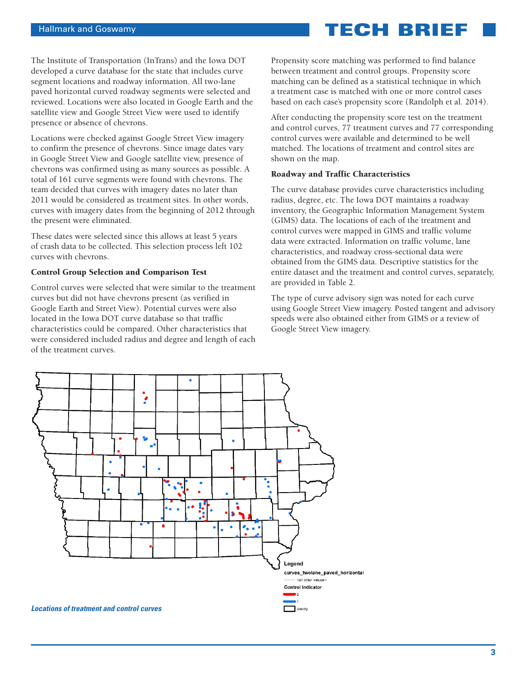The Institute of Transportation (InTrans) and the Iowa DOT developed a curve database for the state that includes curve segment locations and roadway information. All two-lane paved horizontal curved roadway segments were selected and reviewed. Locations were also located in Google Earth and the satellite view and Google Street View were used to identify presence or absence of chevrons.

Locations were checked against Google Street View imagery to confirm the presence of chevrons. Since image dates vary in Google Street View and Google satellite view, presence of chevrons was confirmed using as many sources as possible. A total of 161 curve segments were found with chevrons. The team decided that curves with imagery dates no later than 2011 would be considered as treatment sites. In other words, curves with imagery dates from the beginning of 2012 through the present were eliminated.

These dates were selected since this allows at least 5 years of crash data to be collected. This selection process left 102 curves with chevrons.

#### Control Group Selection and Comparison Test

Control curves were selected that were similar to the treatment curves but did not have chevrons present (as verified in Google Earth and Street View). Potential curves were also located in the Iowa DOT curve database so that traffic characteristics could be compared. Other characteristics that were considered included radius and degree and length of each of the treatment curves.

Propensity score matching was performed to find balance between treatment and control groups. Propensity score matching can be defined as a statistical technique in which a treatment case is matched with one or more control cases based on each case's propensity score (Randolph et al. 2014).

After conducting the propensity score test on the treatment and control curves, 77 treatment curves and 77 corresponding control curves were available and determined to be well matched. The locations of treatment and control sites are shown on the map.

#### Roadway and Traffic Characteristics

The curve database provides curve characteristics including radius, degree, etc. The Iowa DOT maintains a roadway inventory, the Geographic Information Management System (GIMS) data. The locations of each of the treatment and control curves were mapped in GIMS and traffic volume data were extracted. Information on traffic volume, lane characteristics, and roadway cross-sectional data were obtained from the GIMS data. Descriptive statistics for the entire dataset and the treatment and control curves, separately, are provided in Table 2.

The type of curve advisory sign was noted for each curve using Google Street View imagery. Posted tangent and advisory speeds were also obtained either from GIMS or a review of Google Street View imagery.

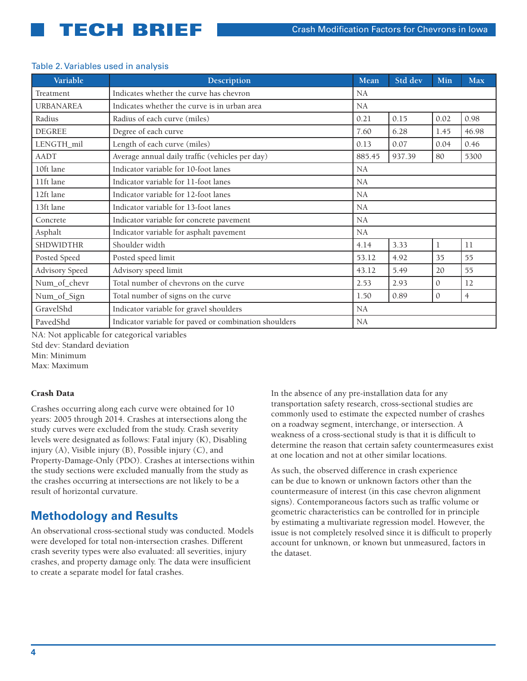### AADT Average annual daily traffic (vehicles per day) 885.45 | 937.39 | 80 | 5300 **Variable Description Mean Std dev Min Max** Treatment Indicates whether the curve has chevron NA URBANAREA Indicates whether the curve is in urban area NA Radius Radius of each curve (miles)  $\begin{bmatrix} 0.21 & 0.15 & 0.02 & 0.98 \\ 0.02 & 0.02 & 0.98 & 0.02 \end{bmatrix}$ DEGREE Degree of each curve 7.60 6.28 1.45 46.98 LENGTH mil Length of each curve (miles)  $\begin{bmatrix} 0.13 & 0.07 & 0.04 \end{bmatrix}$  0.04 0.46 10ft lane Indicator variable for 10-foot lanes NA 11ft lane Indicator variable for 11-foot lanes 12ft lane Indicator variable for 12-foot lanes 13ft lane Indicator variable for 13-foot lanes Concrete Indicator variable for concrete pavement NA Asphalt Indicator variable for asphalt pavement NA SHDWIDTHR Shoulder width 4.14 3.33 1 1 11 Posted Speed Posted speed limit 153.12 4.92 35 55 Advisory Speed Advisory speed limit  $43.12 \begin{array}{|l} 5.49 \end{array}$  20 55 Num\_of\_chevr Total number of chevrons on the curve 2.53 2.93 0 12 Num\_of\_Sign Total number of signs on the curve 1.50 0.89 0.89 0 4 GravelShd Indicator variable for gravel shoulders NA PavedShd Indicator variable for paved or combination shoulders NA

### Table 2. Variables used in analysis

NA: Not applicable for categorical variables

Std dev: Standard deviation

Min: Minimum

Max: Maximum

### Crash Data

Crashes occurring along each curve were obtained for 10 years: 2005 through 2014. Crashes at intersections along the study curves were excluded from the study. Crash severity levels were designated as follows: Fatal injury (K), Disabling injury (A), Visible injury (B), Possible injury (C), and Property-Damage-Only (PDO). Crashes at intersections within the study sections were excluded manually from the study as the crashes occurring at intersections are not likely to be a result of horizontal curvature.

## **Methodology and Results**

An observational cross-sectional study was conducted. Models were developed for total non-intersection crashes. Different crash severity types were also evaluated: all severities, injury crashes, and property damage only. The data were insufficient to create a separate model for fatal crashes.

In the absence of any pre-installation data for any transportation safety research, cross-sectional studies are commonly used to estimate the expected number of crashes on a roadway segment, interchange, or intersection. A weakness of a cross-sectional study is that it is difficult to determine the reason that certain safety countermeasures exist at one location and not at other similar locations.

As such, the observed difference in crash experience can be due to known or unknown factors other than the countermeasure of interest (in this case chevron alignment signs). Contemporaneous factors such as traffic volume or geometric characteristics can be controlled for in principle by estimating a multivariate regression model. However, the issue is not completely resolved since it is difficult to properly account for unknown, or known but unmeasured, factors in the dataset.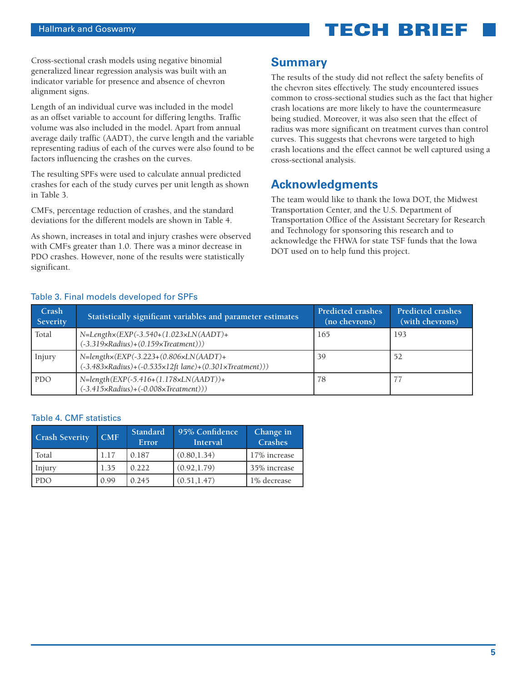Cross-sectional crash models using negative binomial generalized linear regression analysis was built with an indicator variable for presence and absence of chevron alignment signs.

Length of an individual curve was included in the model as an offset variable to account for differing lengths. Traffic volume was also included in the model. Apart from annual average daily traffic (AADT), the curve length and the variable representing radius of each of the curves were also found to be factors influencing the crashes on the curves.

The resulting SPFs were used to calculate annual predicted crashes for each of the study curves per unit length as shown in Table 3.

CMFs, percentage reduction of crashes, and the standard deviations for the different models are shown in Table 4.

As shown, increases in total and injury crashes were observed with CMFs greater than 1.0. There was a minor decrease in PDO crashes. However, none of the results were statistically significant.

### **Summary**

The results of the study did not reflect the safety benefits of the chevron sites effectively. The study encountered issues common to cross-sectional studies such as the fact that higher crash locations are more likely to have the countermeasure being studied. Moreover, it was also seen that the effect of radius was more significant on treatment curves than control curves. This suggests that chevrons were targeted to high crash locations and the effect cannot be well captured using a cross-sectional analysis.

## **Acknowledgments**

The team would like to thank the Iowa DOT, the Midwest Transportation Center, and the U.S. Department of Transportation Office of the Assistant Secretary for Research and Technology for sponsoring this research and to acknowledge the FHWA for state TSF funds that the Iowa DOT used on to help fund this project.

| Crash<br>Severity | Statistically significant variables and parameter estimates                                                                                               | <b>Predicted crashes</b><br>(no chevrons) | <b>Predicted crashes</b><br>(with chevrons) |
|-------------------|-----------------------------------------------------------------------------------------------------------------------------------------------------------|-------------------------------------------|---------------------------------------------|
| Total             | $N=Length \times (EXP(-3.540+(1.023 \times LN(AADT)) +$<br>$(-3.319 \times Radius) + (0.159 \times Treatment)))$                                          | 165                                       | -193                                        |
| Injury            | $N = length \times (EXP(-3.223 + (0.806 \times LN(AADT)) +$<br>$(-3.483 \times Radius) + (-0.535 \times 12 ft \text{ lane}) + (0.301 \times Treatment)))$ | 39                                        | 52                                          |
| <b>PDO</b>        | $N = length(EXP(-5.416+(1.178×LN(AADT)) +$<br>$(-3.415 \times Radius) + (-0.008 \times Treatment)))$                                                      | 78                                        |                                             |

### Table 3. Final models developed for SPFs

### Table 4. CMF statistics

| <b>Crash Severity</b> | CMF  | Standard<br>Error | 95% Confidence<br>Interval | Change in<br>Crashes |
|-----------------------|------|-------------------|----------------------------|----------------------|
| Total                 | 1.17 | 0.187             | (0.80, 1.34)               | 17% increase         |
| Injury                | 1.35 | 0.222             | (0.92, 1.79)               | 35% increase         |
| <b>PDO</b>            | 0.99 | 0.245             | (0.51, 1.47)               | 1% decrease          |